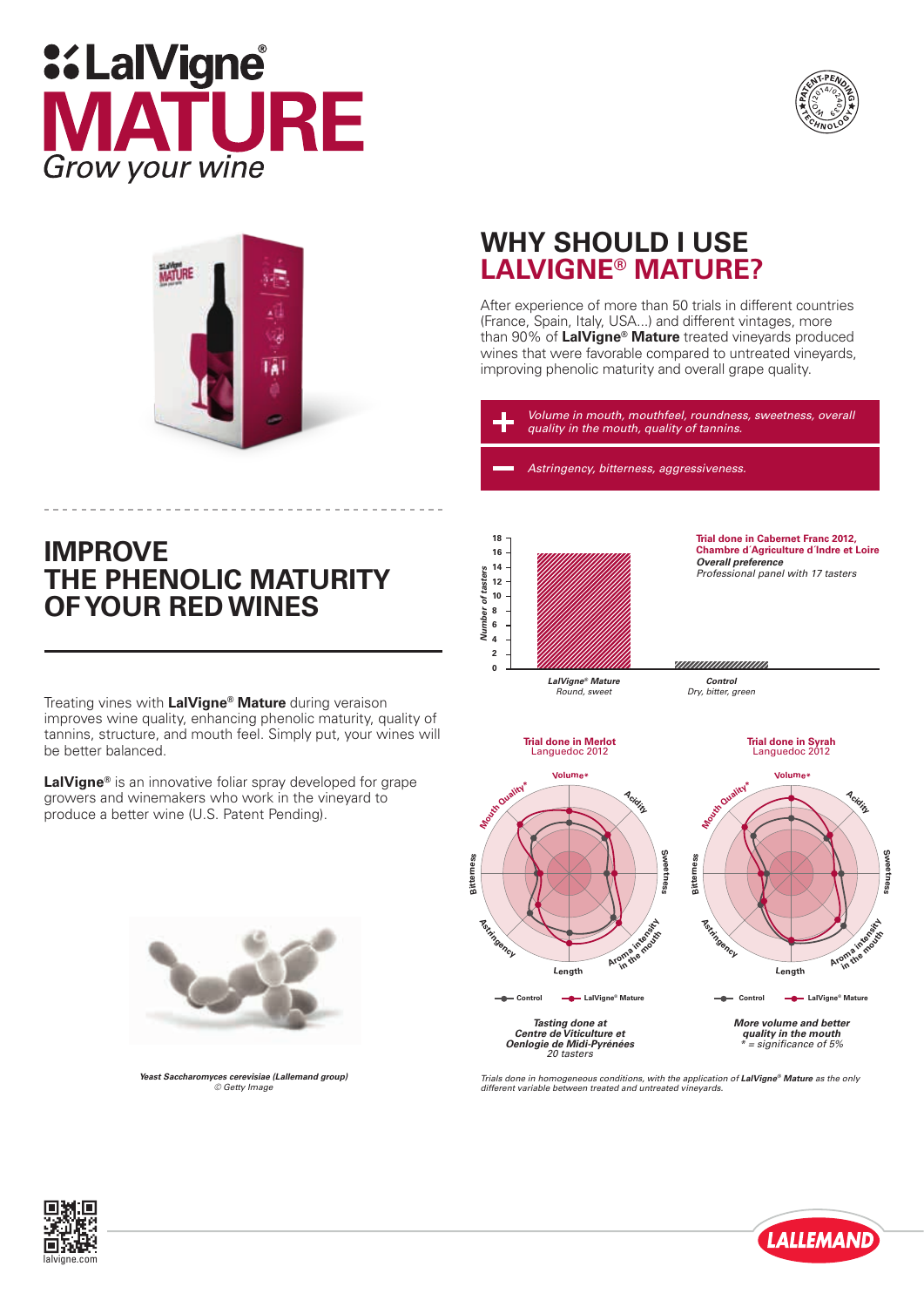# **::LalVigne TURE** MД Grow your wine





### **IMPROVE THE PHENOLIC MATURITY OF YOUR RED WINES**

Treating vines with **LalVigne® Mature** during veraison improves wine quality, enhancing phenolic maturity, quality of tannins, structure, and mouth feel. Simply put, your wines will be better balanced.

**LalVigne®** is an innovative foliar spray developed for grape growers and winemakers who work in the vineyard to produce a better wine (U.S. Patent Pending).



*Yeast Saccharomyces cerevisiae (Lallemand group) © Getty Image*

## **WHY SHOULD I USE LALVIGNE® MATURE?**

After experience of more than 50 trials in different countries (France, Spain, Italy, USA...) and different vintages, more than 90% of **LalVigne® Mature** treated vineyards produced wines that were favorable compared to untreated vinevards. improving phenolic maturity and overall grape quality.

*Volume in mouth, mouthfeel, roundness, sweetness, overall quality in the mouth, quality of tannins.*

*Astringency, bitterness, aggressiveness.*



**Trial done in Cabernet Franc 2012, Chambre d´Agriculture d´Indre et Loire** *Overall preference Professional panel with 17 tasters* 

*Round, sweet*

**Trial done in Merlot** Languedoc 2012

unnunnunnun *Control Dry, bitter, green*

**Trial done in Syrah** Languedoc 2012



**Acidity Sweetness Astringency** Length Aroman

*Tasting done at Centre de Viticulture et* **Control** LalVigne® Mature

*Oenlogie de Midi-Pyrénées 20 tasters*

*More volume and better quality in the mouth \* = significance of 5%*

**Control LalVigne® Mature**

*Trials done in homogeneous conditions, with the application of LalVigne® Mature as the only different variable between treated and untreated vineyards.*